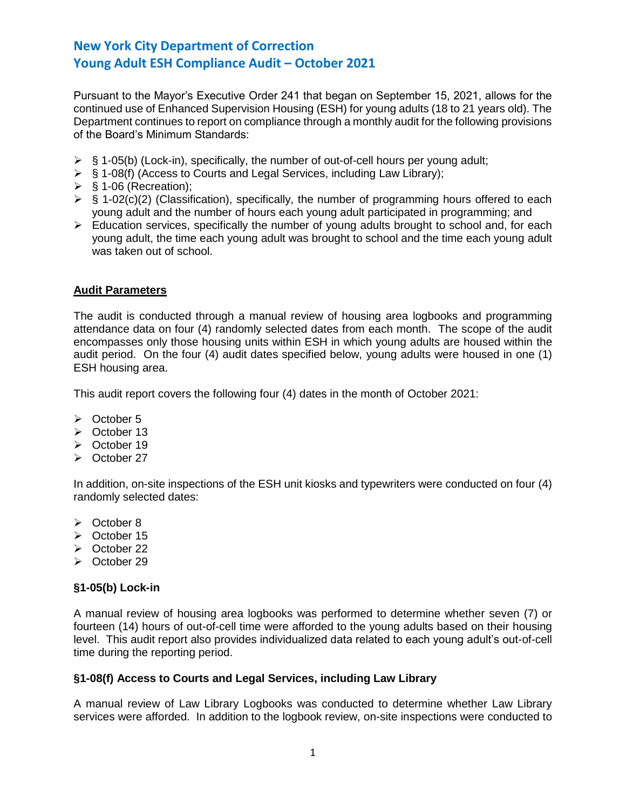Pursuant to the Mayor's Executive Order 241 that began on September 15, 2021, allows for the continued use of Enhanced Supervision Housing (ESH) for young adults (18 to 21 years old). The Department continues to report on compliance through a monthly audit for the following provisions of the Board's Minimum Standards:

- $\triangleright$  § 1-05(b) (Lock-in), specifically, the number of out-of-cell hours per young adult;
- ➢ § 1-08(f) (Access to Courts and Legal Services, including Law Library);
- $\triangleright$  § 1-06 (Recreation);
- $\triangleright$  § 1-02(c)(2) (Classification), specifically, the number of programming hours offered to each young adult and the number of hours each young adult participated in programming; and
- ➢ Education services, specifically the number of young adults brought to school and, for each young adult, the time each young adult was brought to school and the time each young adult was taken out of school.

#### **Audit Parameters**

The audit is conducted through a manual review of housing area logbooks and programming attendance data on four (4) randomly selected dates from each month. The scope of the audit encompasses only those housing units within ESH in which young adults are housed within the audit period. On the four (4) audit dates specified below, young adults were housed in one (1) ESH housing area.

This audit report covers the following four (4) dates in the month of October 2021:

- ➢ October 5
- ➢ October 13
- ➢ October 19
- ➢ October 27

In addition, on-site inspections of the ESH unit kiosks and typewriters were conducted on four (4) randomly selected dates:

- ➢ October 8
- ➢ October 15
- ➢ October 22
- ➢ October 29

#### **§1-05(b) Lock-in**

A manual review of housing area logbooks was performed to determine whether seven (7) or fourteen (14) hours of out-of-cell time were afforded to the young adults based on their housing level. This audit report also provides individualized data related to each young adult's out-of-cell time during the reporting period.

#### **§1-08(f) Access to Courts and Legal Services, including Law Library**

A manual review of Law Library Logbooks was conducted to determine whether Law Library services were afforded. In addition to the logbook review, on-site inspections were conducted to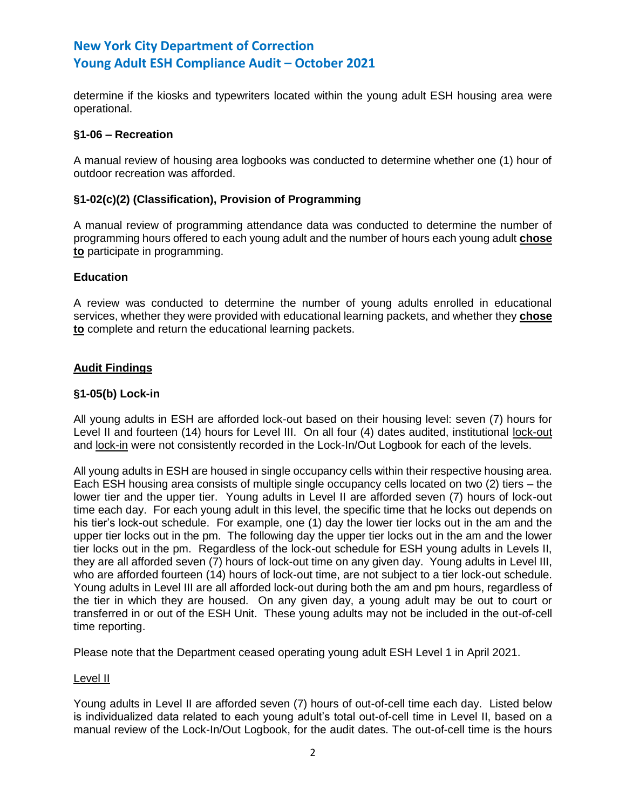determine if the kiosks and typewriters located within the young adult ESH housing area were operational.

### **§1-06 – Recreation**

A manual review of housing area logbooks was conducted to determine whether one (1) hour of outdoor recreation was afforded.

#### **§1-02(c)(2) (Classification), Provision of Programming**

A manual review of programming attendance data was conducted to determine the number of programming hours offered to each young adult and the number of hours each young adult **chose to** participate in programming.

## **Education**

A review was conducted to determine the number of young adults enrolled in educational services, whether they were provided with educational learning packets, and whether they **chose to** complete and return the educational learning packets.

## **Audit Findings**

#### **§1-05(b) Lock-in**

All young adults in ESH are afforded lock-out based on their housing level: seven (7) hours for Level II and fourteen (14) hours for Level III. On all four (4) dates audited, institutional lock-out and lock-in were not consistently recorded in the Lock-In/Out Logbook for each of the levels.

All young adults in ESH are housed in single occupancy cells within their respective housing area. Each ESH housing area consists of multiple single occupancy cells located on two (2) tiers – the lower tier and the upper tier. Young adults in Level II are afforded seven (7) hours of lock-out time each day. For each young adult in this level, the specific time that he locks out depends on his tier's lock-out schedule. For example, one (1) day the lower tier locks out in the am and the upper tier locks out in the pm. The following day the upper tier locks out in the am and the lower tier locks out in the pm. Regardless of the lock-out schedule for ESH young adults in Levels II, they are all afforded seven (7) hours of lock-out time on any given day. Young adults in Level III, who are afforded fourteen (14) hours of lock-out time, are not subject to a tier lock-out schedule. Young adults in Level III are all afforded lock-out during both the am and pm hours, regardless of the tier in which they are housed. On any given day, a young adult may be out to court or transferred in or out of the ESH Unit. These young adults may not be included in the out-of-cell time reporting.

Please note that the Department ceased operating young adult ESH Level 1 in April 2021.

#### Level II

Young adults in Level II are afforded seven (7) hours of out-of-cell time each day. Listed below is individualized data related to each young adult's total out-of-cell time in Level II, based on a manual review of the Lock-In/Out Logbook, for the audit dates. The out-of-cell time is the hours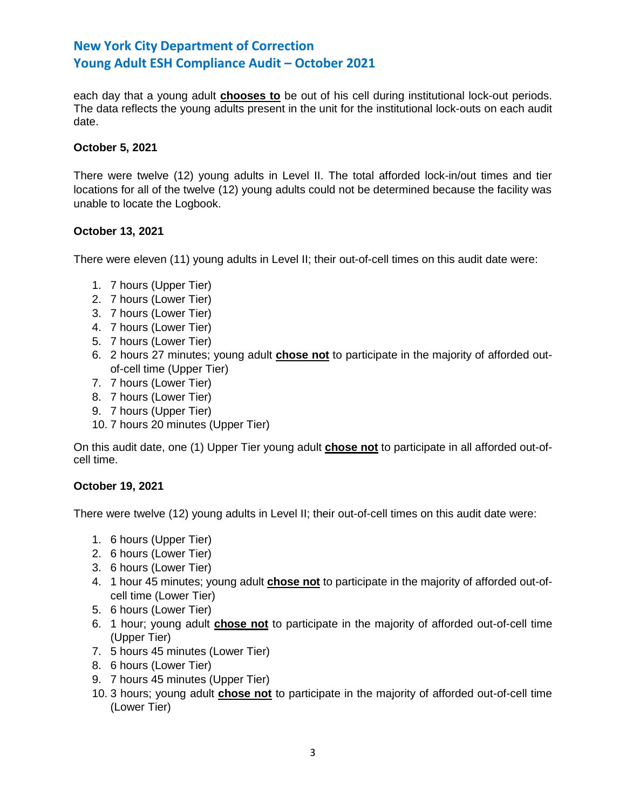each day that a young adult **chooses to** be out of his cell during institutional lock-out periods. The data reflects the young adults present in the unit for the institutional lock-outs on each audit date.

### **October 5, 2021**

There were twelve (12) young adults in Level II. The total afforded lock-in/out times and tier locations for all of the twelve (12) young adults could not be determined because the facility was unable to locate the Logbook.

#### **October 13, 2021**

There were eleven (11) young adults in Level II; their out-of-cell times on this audit date were:

- 1. 7 hours (Upper Tier)
- 2. 7 hours (Lower Tier)
- 3. 7 hours (Lower Tier)
- 4. 7 hours (Lower Tier)
- 5. 7 hours (Lower Tier)
- 6. 2 hours 27 minutes; young adult **chose not** to participate in the majority of afforded outof-cell time (Upper Tier)
- 7. 7 hours (Lower Tier)
- 8. 7 hours (Lower Tier)
- 9. 7 hours (Upper Tier)
- 10. 7 hours 20 minutes (Upper Tier)

On this audit date, one (1) Upper Tier young adult **chose not** to participate in all afforded out-ofcell time.

## **October 19, 2021**

There were twelve (12) young adults in Level II; their out-of-cell times on this audit date were:

- 1. 6 hours (Upper Tier)
- 2. 6 hours (Lower Tier)
- 3. 6 hours (Lower Tier)
- 4. 1 hour 45 minutes; young adult **chose not** to participate in the majority of afforded out-ofcell time (Lower Tier)
- 5. 6 hours (Lower Tier)
- 6. 1 hour; young adult **chose not** to participate in the majority of afforded out-of-cell time (Upper Tier)
- 7. 5 hours 45 minutes (Lower Tier)
- 8. 6 hours (Lower Tier)
- 9. 7 hours 45 minutes (Upper Tier)
- 10. 3 hours; young adult **chose not** to participate in the majority of afforded out-of-cell time (Lower Tier)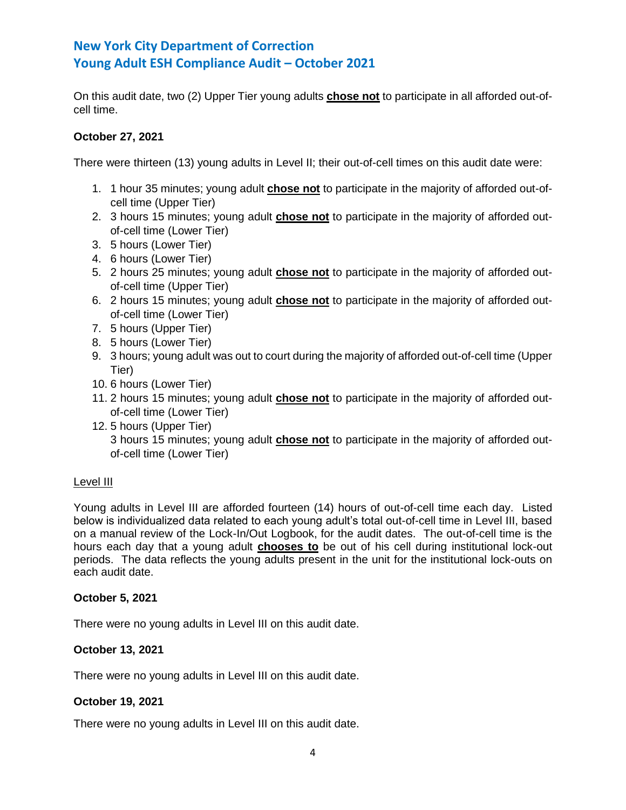On this audit date, two (2) Upper Tier young adults **chose not** to participate in all afforded out-ofcell time.

## **October 27, 2021**

There were thirteen (13) young adults in Level II; their out-of-cell times on this audit date were:

- 1. 1 hour 35 minutes; young adult **chose not** to participate in the majority of afforded out-ofcell time (Upper Tier)
- 2. 3 hours 15 minutes; young adult **chose not** to participate in the majority of afforded outof-cell time (Lower Tier)
- 3. 5 hours (Lower Tier)
- 4. 6 hours (Lower Tier)
- 5. 2 hours 25 minutes; young adult **chose not** to participate in the majority of afforded outof-cell time (Upper Tier)
- 6. 2 hours 15 minutes; young adult **chose not** to participate in the majority of afforded outof-cell time (Lower Tier)
- 7. 5 hours (Upper Tier)
- 8. 5 hours (Lower Tier)
- 9. 3 hours; young adult was out to court during the majority of afforded out-of-cell time (Upper Tier)
- 10. 6 hours (Lower Tier)
- 11. 2 hours 15 minutes; young adult **chose not** to participate in the majority of afforded outof-cell time (Lower Tier)
- 12. 5 hours (Upper Tier) 3 hours 15 minutes; young adult **chose not** to participate in the majority of afforded outof-cell time (Lower Tier)

## Level III

Young adults in Level III are afforded fourteen (14) hours of out-of-cell time each day. Listed below is individualized data related to each young adult's total out-of-cell time in Level III, based on a manual review of the Lock-In/Out Logbook, for the audit dates. The out-of-cell time is the hours each day that a young adult **chooses to** be out of his cell during institutional lock-out periods. The data reflects the young adults present in the unit for the institutional lock-outs on each audit date.

## **October 5, 2021**

There were no young adults in Level III on this audit date.

## **October 13, 2021**

There were no young adults in Level III on this audit date.

## **October 19, 2021**

There were no young adults in Level III on this audit date.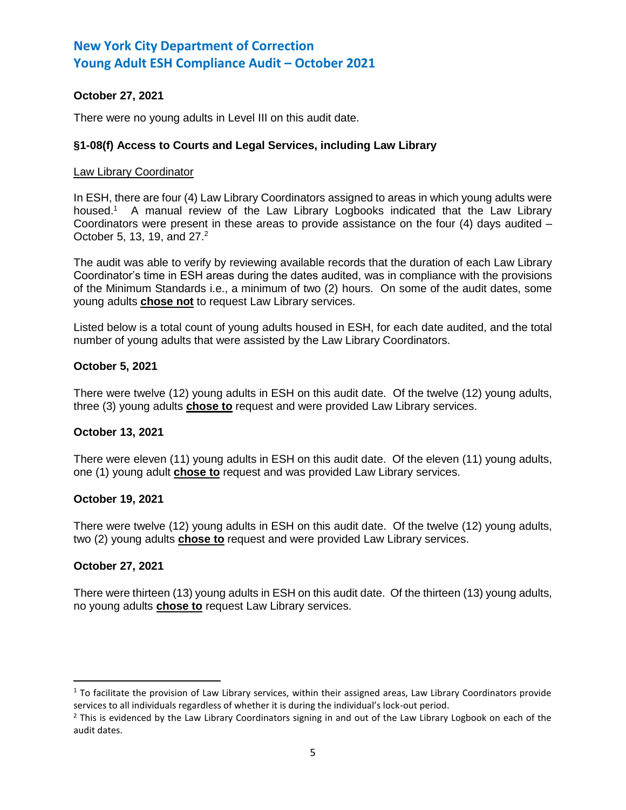## **October 27, 2021**

There were no young adults in Level III on this audit date.

### **§1-08(f) Access to Courts and Legal Services, including Law Library**

#### Law Library Coordinator

In ESH, there are four (4) Law Library Coordinators assigned to areas in which young adults were housed.<sup>1</sup> A manual review of the Law Library Logbooks indicated that the Law Library Coordinators were present in these areas to provide assistance on the four  $(4)$  days audited  $-$ October 5, 13, 19, and 27. 2

The audit was able to verify by reviewing available records that the duration of each Law Library Coordinator's time in ESH areas during the dates audited, was in compliance with the provisions of the Minimum Standards i.e., a minimum of two (2) hours. On some of the audit dates, some young adults **chose not** to request Law Library services.

Listed below is a total count of young adults housed in ESH, for each date audited, and the total number of young adults that were assisted by the Law Library Coordinators.

#### **October 5, 2021**

There were twelve (12) young adults in ESH on this audit date. Of the twelve (12) young adults, three (3) young adults **chose to** request and were provided Law Library services.

#### **October 13, 2021**

There were eleven (11) young adults in ESH on this audit date. Of the eleven (11) young adults, one (1) young adult **chose to** request and was provided Law Library services.

#### **October 19, 2021**

There were twelve (12) young adults in ESH on this audit date. Of the twelve (12) young adults, two (2) young adults **chose to** request and were provided Law Library services.

#### **October 27, 2021**

l

There were thirteen (13) young adults in ESH on this audit date. Of the thirteen (13) young adults, no young adults **chose to** request Law Library services.

 $1$  To facilitate the provision of Law Library services, within their assigned areas, Law Library Coordinators provide services to all individuals regardless of whether it is during the individual's lock-out period.

 $<sup>2</sup>$  This is evidenced by the Law Library Coordinators signing in and out of the Law Library Logbook on each of the</sup> audit dates.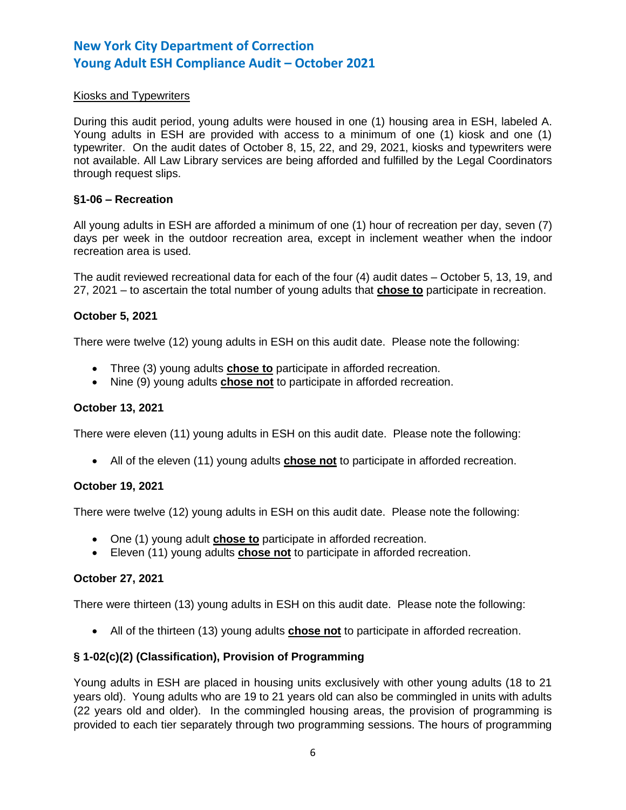### Kiosks and Typewriters

During this audit period, young adults were housed in one (1) housing area in ESH, labeled A. Young adults in ESH are provided with access to a minimum of one (1) kiosk and one (1) typewriter. On the audit dates of October 8, 15, 22, and 29, 2021, kiosks and typewriters were not available. All Law Library services are being afforded and fulfilled by the Legal Coordinators through request slips.

#### **§1-06 – Recreation**

All young adults in ESH are afforded a minimum of one (1) hour of recreation per day, seven (7) days per week in the outdoor recreation area, except in inclement weather when the indoor recreation area is used.

The audit reviewed recreational data for each of the four (4) audit dates – October 5, 13, 19, and 27, 2021 – to ascertain the total number of young adults that **chose to** participate in recreation.

#### **October 5, 2021**

There were twelve (12) young adults in ESH on this audit date. Please note the following:

- Three (3) young adults **chose to** participate in afforded recreation.
- Nine (9) young adults **chose not** to participate in afforded recreation.

#### **October 13, 2021**

There were eleven (11) young adults in ESH on this audit date. Please note the following:

• All of the eleven (11) young adults **chose not** to participate in afforded recreation.

#### **October 19, 2021**

There were twelve (12) young adults in ESH on this audit date. Please note the following:

- One (1) young adult **chose to** participate in afforded recreation.
- Eleven (11) young adults **chose not** to participate in afforded recreation.

## **October 27, 2021**

There were thirteen (13) young adults in ESH on this audit date. Please note the following:

• All of the thirteen (13) young adults **chose not** to participate in afforded recreation.

## **§ 1-02(c)(2) (Classification), Provision of Programming**

Young adults in ESH are placed in housing units exclusively with other young adults (18 to 21 years old). Young adults who are 19 to 21 years old can also be commingled in units with adults (22 years old and older). In the commingled housing areas, the provision of programming is provided to each tier separately through two programming sessions. The hours of programming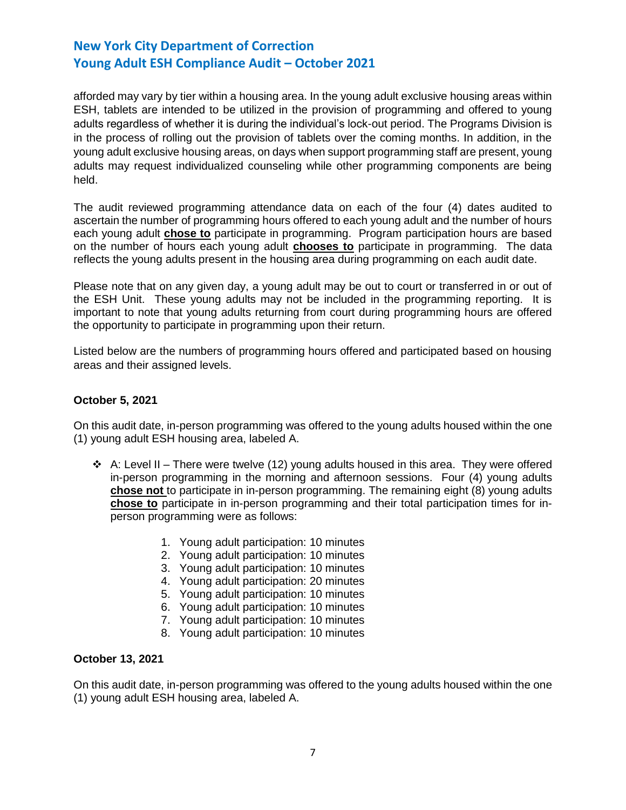afforded may vary by tier within a housing area. In the young adult exclusive housing areas within ESH, tablets are intended to be utilized in the provision of programming and offered to young adults regardless of whether it is during the individual's lock-out period. The Programs Division is in the process of rolling out the provision of tablets over the coming months. In addition, in the young adult exclusive housing areas, on days when support programming staff are present, young adults may request individualized counseling while other programming components are being held.

The audit reviewed programming attendance data on each of the four (4) dates audited to ascertain the number of programming hours offered to each young adult and the number of hours each young adult **chose to** participate in programming. Program participation hours are based on the number of hours each young adult **chooses to** participate in programming. The data reflects the young adults present in the housing area during programming on each audit date.

Please note that on any given day, a young adult may be out to court or transferred in or out of the ESH Unit. These young adults may not be included in the programming reporting. It is important to note that young adults returning from court during programming hours are offered the opportunity to participate in programming upon their return.

Listed below are the numbers of programming hours offered and participated based on housing areas and their assigned levels.

#### **October 5, 2021**

On this audit date, in-person programming was offered to the young adults housed within the one (1) young adult ESH housing area, labeled A.

- $\div$  A: Level II There were twelve (12) young adults housed in this area. They were offered in-person programming in the morning and afternoon sessions. Four (4) young adults **chose not** to participate in in-person programming. The remaining eight (8) young adults **chose to** participate in in-person programming and their total participation times for inperson programming were as follows:
	- 1. Young adult participation: 10 minutes
	- 2. Young adult participation: 10 minutes
	- 3. Young adult participation: 10 minutes
	- 4. Young adult participation: 20 minutes
	- 5. Young adult participation: 10 minutes
	- 6. Young adult participation: 10 minutes
	- 7. Young adult participation: 10 minutes
	- 8. Young adult participation: 10 minutes

#### **October 13, 2021**

On this audit date, in-person programming was offered to the young adults housed within the one (1) young adult ESH housing area, labeled A.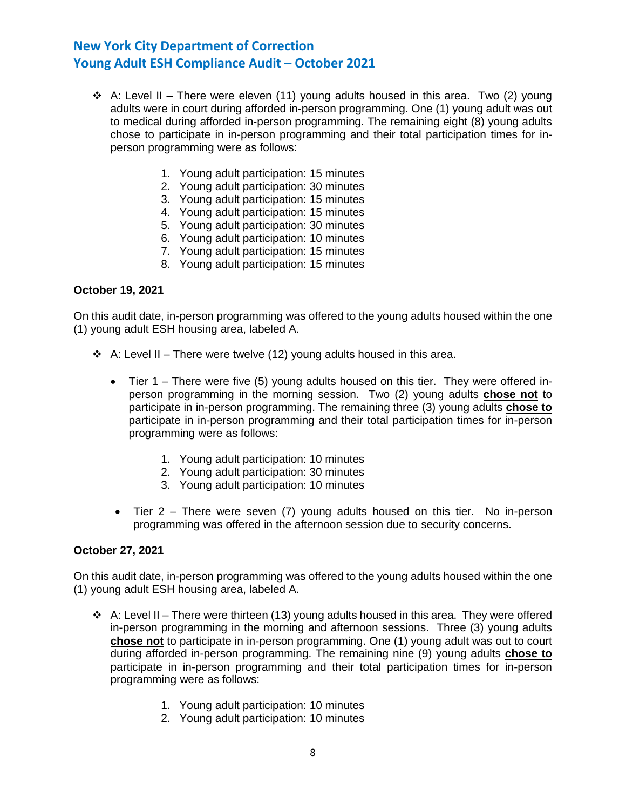- ❖ A: Level II There were eleven (11) young adults housed in this area. Two (2) young adults were in court during afforded in-person programming. One (1) young adult was out to medical during afforded in-person programming. The remaining eight (8) young adults chose to participate in in-person programming and their total participation times for inperson programming were as follows:
	- 1. Young adult participation: 15 minutes
	- 2. Young adult participation: 30 minutes
	- 3. Young adult participation: 15 minutes
	- 4. Young adult participation: 15 minutes
	- 5. Young adult participation: 30 minutes
	- 6. Young adult participation: 10 minutes
	- 7. Young adult participation: 15 minutes
	- 8. Young adult participation: 15 minutes

#### **October 19, 2021**

On this audit date, in-person programming was offered to the young adults housed within the one (1) young adult ESH housing area, labeled A.

- ❖ A: Level II There were twelve (12) young adults housed in this area.
	- Tier 1 There were five (5) young adults housed on this tier. They were offered inperson programming in the morning session. Two (2) young adults **chose not** to participate in in-person programming. The remaining three (3) young adults **chose to** participate in in-person programming and their total participation times for in-person programming were as follows:
		- 1. Young adult participation: 10 minutes
		- 2. Young adult participation: 30 minutes
		- 3. Young adult participation: 10 minutes
	- Tier 2 There were seven (7) young adults housed on this tier. No in-person programming was offered in the afternoon session due to security concerns.

#### **October 27, 2021**

On this audit date, in-person programming was offered to the young adults housed within the one (1) young adult ESH housing area, labeled A.

- $\div$  A: Level II There were thirteen (13) young adults housed in this area. They were offered in-person programming in the morning and afternoon sessions. Three (3) young adults **chose not** to participate in in-person programming. One (1) young adult was out to court during afforded in-person programming. The remaining nine (9) young adults **chose to** participate in in-person programming and their total participation times for in-person programming were as follows:
	- 1. Young adult participation: 10 minutes
	- 2. Young adult participation: 10 minutes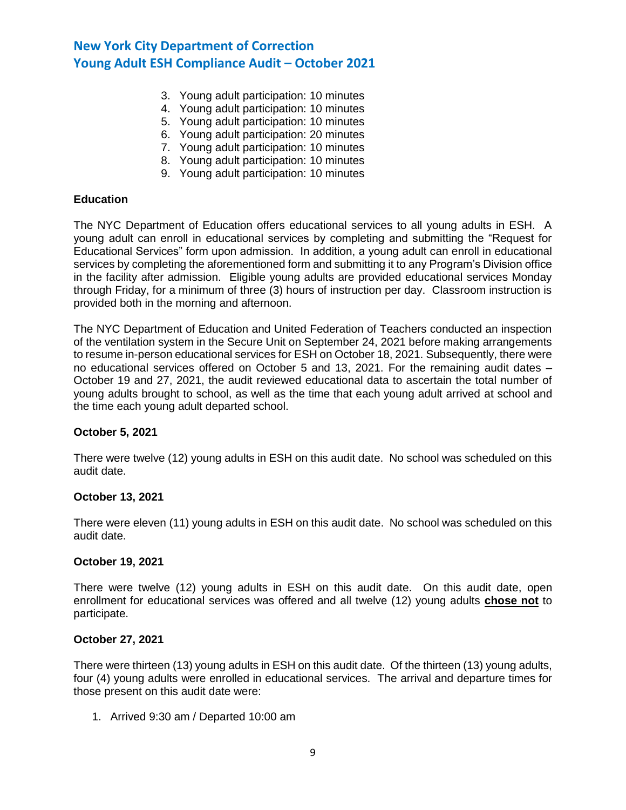- 3. Young adult participation: 10 minutes
- 4. Young adult participation: 10 minutes
- 5. Young adult participation: 10 minutes
- 6. Young adult participation: 20 minutes
- 7. Young adult participation: 10 minutes
- 8. Young adult participation: 10 minutes
- 9. Young adult participation: 10 minutes

#### **Education**

The NYC Department of Education offers educational services to all young adults in ESH. A young adult can enroll in educational services by completing and submitting the "Request for Educational Services" form upon admission. In addition, a young adult can enroll in educational services by completing the aforementioned form and submitting it to any Program's Division office in the facility after admission. Eligible young adults are provided educational services Monday through Friday, for a minimum of three (3) hours of instruction per day. Classroom instruction is provided both in the morning and afternoon.

The NYC Department of Education and United Federation of Teachers conducted an inspection of the ventilation system in the Secure Unit on September 24, 2021 before making arrangements to resume in-person educational services for ESH on October 18, 2021. Subsequently, there were no educational services offered on October 5 and 13, 2021. For the remaining audit dates – October 19 and 27, 2021, the audit reviewed educational data to ascertain the total number of young adults brought to school, as well as the time that each young adult arrived at school and the time each young adult departed school.

## **October 5, 2021**

There were twelve (12) young adults in ESH on this audit date. No school was scheduled on this audit date.

#### **October 13, 2021**

There were eleven (11) young adults in ESH on this audit date. No school was scheduled on this audit date.

#### **October 19, 2021**

There were twelve (12) young adults in ESH on this audit date. On this audit date, open enrollment for educational services was offered and all twelve (12) young adults **chose not** to participate.

#### **October 27, 2021**

There were thirteen (13) young adults in ESH on this audit date. Of the thirteen (13) young adults, four (4) young adults were enrolled in educational services. The arrival and departure times for those present on this audit date were:

1. Arrived 9:30 am / Departed 10:00 am